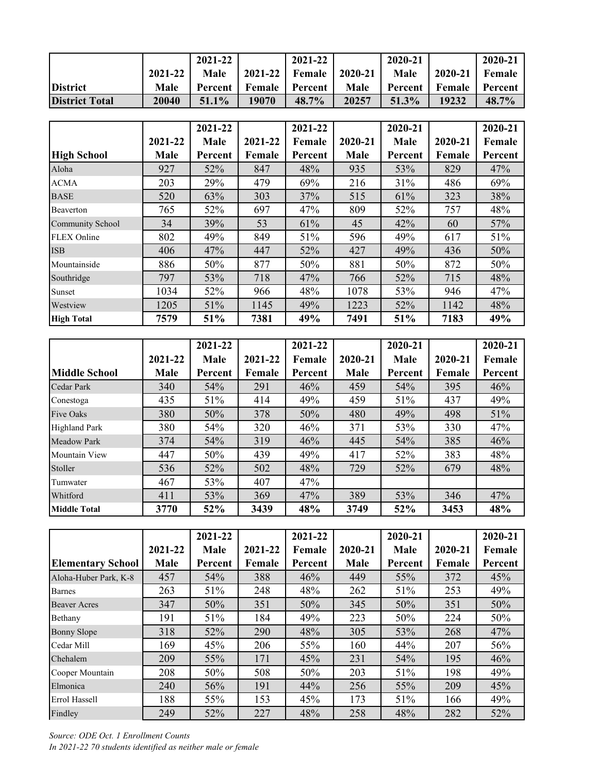|                       |         | 2021-22  |             | 2021-22          |         | 2020-21  |         | 2020-21 |
|-----------------------|---------|----------|-------------|------------------|---------|----------|---------|---------|
|                       | 2021-22 | Male     | $2021 - 22$ | Female           | 2020-21 | Male     | 2020-21 | Female  |
| <b>District</b>       | Male    | Percent  | Female      | <b>■</b> Percent | Male    | Percent  | Female  | Percent |
| <b>District Total</b> | 20040   | $51.1\%$ | 19070       | 48.7%            | 20257   | $51.3\%$ | 19232   | 48.7%   |

|                         |         | 2021-22 |         | 2021-22 |         | 2020-21 |         | 2020-21 |
|-------------------------|---------|---------|---------|---------|---------|---------|---------|---------|
|                         | 2021-22 | Male    | 2021-22 | Female  | 2020-21 | Male    | 2020-21 | Female  |
| <b>High School</b>      | Male    | Percent | Female  | Percent | Male    | Percent | Female  | Percent |
| Aloha                   | 927     | 52%     | 847     | 48%     | 935     | 53%     | 829     | 47%     |
| <b>ACMA</b>             | 203     | 29%     | 479     | 69%     | 216     | 31%     | 486     | 69%     |
| <b>BASE</b>             | 520     | 63%     | 303     | 37%     | 515     | 61%     | 323     | 38%     |
| Beaverton               | 765     | 52%     | 697     | 47%     | 809     | 52%     | 757     | 48%     |
| <b>Community School</b> | 34      | 39%     | 53      | 61%     | 45      | 42%     | 60      | 57%     |
| <b>FLEX Online</b>      | 802     | 49%     | 849     | 51%     | 596     | 49%     | 617     | 51%     |
| <b>ISB</b>              | 406     | 47%     | 447     | 52%     | 427     | 49%     | 436     | 50%     |
| Mountainside            | 886     | 50%     | 877     | 50%     | 881     | 50%     | 872     | 50%     |
| Southridge              | 797     | 53%     | 718     | 47%     | 766     | 52%     | 715     | 48%     |
| Sunset                  | 1034    | 52%     | 966     | 48%     | 1078    | 53%     | 946     | 47%     |
| Westview                | 1205    | 51%     | 1145    | 49%     | 1223    | 52%     | 1142    | 48%     |
| <b>High Total</b>       | 7579    | 51%     | 7381    | 49%     | 7491    | 51%     | 7183    | 49%     |

|                      |         | 2021-22 |         | 2021-22 |         | 2020-21 |         | 2020-21 |
|----------------------|---------|---------|---------|---------|---------|---------|---------|---------|
|                      | 2021-22 | Male    | 2021-22 | Female  | 2020-21 | Male    | 2020-21 | Female  |
| <b>Middle School</b> | Male    | Percent | Female  | Percent | Male    | Percent | Female  | Percent |
| <b>Cedar Park</b>    | 340     | 54%     | 291     | 46%     | 459     | 54%     | 395     | 46%     |
| Conestoga            | 435     | 51%     | 414     | 49%     | 459     | 51%     | 437     | 49%     |
| <b>Five Oaks</b>     | 380     | 50%     | 378     | 50%     | 480     | 49%     | 498     | 51%     |
| <b>Highland Park</b> | 380     | 54%     | 320     | 46%     | 371     | 53%     | 330     | 47%     |
| <b>Meadow Park</b>   | 374     | 54%     | 319     | 46%     | 445     | 54%     | 385     | 46%     |
| Mountain View        | 447     | 50%     | 439     | 49%     | 417     | 52%     | 383     | 48%     |
| Stoller              | 536     | 52%     | 502     | 48%     | 729     | 52%     | 679     | 48%     |
| Tumwater             | 467     | 53%     | 407     | 47%     |         |         |         |         |
| Whitford             | 411     | 53%     | 369     | 47%     | 389     | 53%     | 346     | 47%     |
| <b>Middle Total</b>  | 3770    | 52%     | 3439    | 48%     | 3749    | 52%     | 3453    | 48%     |

|                          |         | 2021-22 |         | 2021-22 |         | 2020-21 |         | 2020-21 |
|--------------------------|---------|---------|---------|---------|---------|---------|---------|---------|
|                          | 2021-22 | Male    | 2021-22 | Female  | 2020-21 | Male    | 2020-21 | Female  |
| <b>Elementary School</b> | Male    | Percent | Female  | Percent | Male    | Percent | Female  | Percent |
| Aloha-Huber Park, K-8    | 457     | 54%     | 388     | 46%     | 449     | 55%     | 372     | 45%     |
| <b>Barnes</b>            | 263     | 51%     | 248     | 48%     | 262     | 51%     | 253     | 49%     |
| <b>Beaver Acres</b>      | 347     | 50%     | 351     | 50%     | 345     | 50%     | 351     | 50%     |
| Bethany                  | 191     | 51%     | 184     | 49%     | 223     | 50%     | 224     | 50%     |
| <b>Bonny Slope</b>       | 318     | 52%     | 290     | 48%     | 305     | 53%     | 268     | 47%     |
| Cedar Mill               | 169     | 45%     | 206     | 55%     | 160     | 44%     | 207     | 56%     |
| Chehalem                 | 209     | 55%     | 171     | 45%     | 231     | 54%     | 195     | 46%     |
| Cooper Mountain          | 208     | 50%     | 508     | 50%     | 203     | 51%     | 198     | 49%     |
| Elmonica                 | 240     | 56%     | 191     | 44%     | 256     | 55%     | 209     | 45%     |
| Errol Hassell            | 188     | 55%     | 153     | 45%     | 173     | 51%     | 166     | 49%     |
| Findley                  | 249     | 52%     | 227     | 48%     | 258     | 48%     | 282     | 52%     |

*Source: ODE Oct. 1 Enrollment Counts In 2021-22 70 students identified as neither male or female*